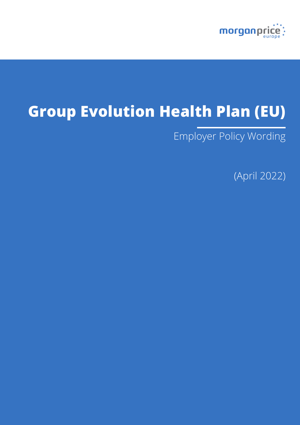

# **Group Evolution Health Plan (EU)**

Employer Policy Wording

(April 2022)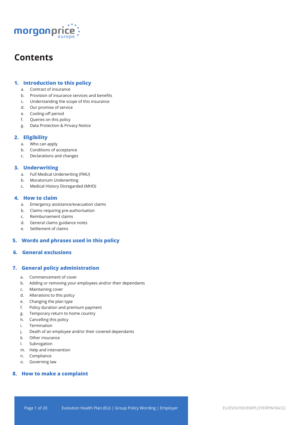

# **Contents**

# **1. Introduction to this policy**

- a. Contract of insurance
- b. Provision of insurance services and benefits
- c. Understanding the scope of this insurance
- d. Our promise of service
- e. Cooling-off period
- f. Queries on this policy
- g. Data Protection & Privacy Notice

# **2. Eligibility**

- a. Who can apply
- b. Conditions of acceptance
- c. Declarations and changes

# **3. Underwriting**

- a. Full Medical Underwriting (FMU)
- b. Moratorium Underwriting
- c. Medical History Disregarded (MHD)

# **4. How to claim**

- a. Emergency assistance/evacuation claims
- b. Claims requiring pre-authorisation
- c. Reimbursement claims
- d. General claims guidance notes
- e. Settlement of claims

# **5. Words and phrases used in this policy**

# **6. General exclusions**

# **7. General policy administration**

- a. Commencement of cover
- b. Adding or removing your employees and/or their dependants
- c. Maintaining cover
- d. Alterations to this policy
- e. Changing the plan type
- f. Policy duration and premium payment
- g. Temporary return to home country
- h. Cancelling this policy
- i. Termination
- j. Death of an employee and/or their covered dependants
- k. Other insurance
- l. Subrogation
- m. Help and intervention
- n. Compliance
- o. Governing law

# **8. How to make a complaint**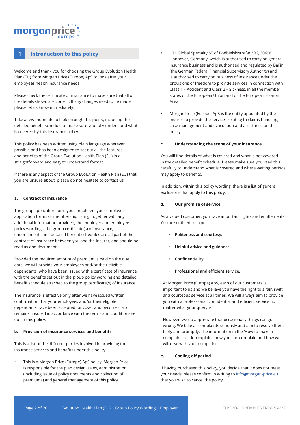# morganpri

# **1 Introduction to this policy**

Welcome and thank you for choosing the Group Evolution Health Plan (EU) from Morgan Price (Europe) ApS to look after your employees health insurance needs.

Please check the certificate of insurance to make sure that all of the details shown are correct. If any changes need to be made, please let us know immediately.

Take a few moments to look through this policy, including the detailed benefit schedule to make sure you fully understand what is covered by this insurance policy.

This policy has been written using plain language wherever possible and has been designed to set out all the features and benefits of the Group Evolution Health Plan (EU) in a straightforward and easy to understand format.

If there is any aspect of the Group Evolution Health Plan (EU) that you are unsure about, please do not hesitate to contact us.

#### **a. Contract of insurance**

The group application form you completed, your employees application forms or membership listing, together with any additional information provided, the employer and employee policy wordings, the group certificate(s) of insurance, endorsements and detailed benefit schedules are all part of the contract of insurance between you and the Insurer, and should be read as one document.

Provided the required amount of premium is paid on the due date, we will provide your employees and/or their eligible dependants, who have been issued with a certificate of insurance, with the benefits set out in the group policy wording and detailed benefit schedule attached to the group certificate(s) of insurance.

The insurance is effective only after we have issued written confirmation that your employees and/or their eligible dependants have been accepted for cover and becomes, and remains, insured in accordance with the terms and conditions set out in this policy.

#### **b. Provision of insurance services and benefits**

This is a list of the different parties involved in providing the insurance services and benefits under this policy:

• This is a Morgan Price (Europe) ApS policy. Morgan Price is responsible for the plan design, sales, administration (including issue of policy documents and collection of premiums) and general management of this policy.

- HDI Global Specialty SE of Podbielskistraße 396, 30696 Hannover, Germany, which is authorised to carry on general insurance business and is authorised and regulated by BaFin (the German Federal Financial Supervisory Authority) and is authorised to carry on business of insurance under the provisions of freedom to provide services in connection with Class 1 – Accident and Class 2 – Sickness, in all the member states of the European Union and of the European Economic Area.
- Morgan Price (Europe) ApS is the entity appointed by the Insurer to provide the services relating to claims handling, case management and evacuation and assistance on this policy.

#### **c. Understanding the scope of your insurance**

You will find details of what is covered and what is not covered in the detailed benefit schedule. Please make sure you read this carefully to understand what is covered and where waiting periods may apply to benefits.

In addition, within this policy wording, there is a list of general exclusions that apply to this policy.

#### **d. Our promise of service**

As a valued customer, you have important rights and entitlements. You are entitled to expect:

- **• Politeness and courtesy.**
- **• Helpful advice and guidance.**
- **• Confidentiality.**
- **• Professional and efficient service.**

At Morgan Price (Europe) ApS, each of our customers is important to us and we believe you have the right to a fair, swift and courteous service at all times. We will always aim to provide you with a professional, confidential and efficient service no matter what your query is.

However, we do appreciate that occasionally things can go wrong. We take all complaints seriously and aim to resolve them fairly and promptly. The information in the 'How to make a complaint' section explains how you can complain and how we will deal with your complaint.

#### **e. Cooling-off period**

If having purchased this policy, you decide that it does not meet your needs, please confirm in writing to info@morgan-price.eu that you wish to cancel the policy.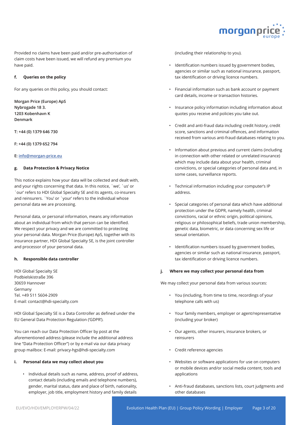

Provided no claims have been paid and/or pre-authorisation of claim costs have been issued, we will refund any premium you have paid.

#### **f. Queries on the policy**

For any queries on this policy, you should contact:

**Morgan Price (Europe) ApS Nybrogade 18 3. 1203 Kobenhavn K Denmark** 

**T: +44 (0) 1379 646 730** 

**F: +44 (0) 1379 652 794** 

#### **E: info@morgan-price.eu**

#### **g. Data Protection & Privacy Notice**

This notice explains how your data will be collected and dealt with, and your rights concerning that data. In this notice, `we', `us' or `our' refers to HDI Global Specialty SE and its agents, co-insurers and reinsurers. `You' or `your' refers to the individual whose personal data we are processing.

Personal data, or personal information, means any information about an individual from which that person can be identified. We respect your privacy and we are committed to protecting your personal data. Morgan Price (Europe) ApS, together with its insurance partner, HDI Global Specialty SE, is the joint controller and processor of your personal data.

#### **h. Responsible data controller**

HDI Global Specialty SE Podbielskistraße 396 30659 Hannover Germany Tel. +49 511 5604-2909 E-mail: contact@hdi-specialty.com

HDI Global Specialty SE is a Data Controller as defined under the EU General Data Protection Regulation ('GDPR').

You can reach our Data Protection Officer by post at the aforementioned address (please include the additional address line "Data Protection Officer") or by e-mail via our data privacy group mailbox: E-mail: privacy-hgs@hdi-specialty.com

#### **i. Personal data we may collect about you**

• Individual details such as name, address, proof of address, contact details (including emails and telephone numbers), gender, marital status, date and place of birth, nationality, employer, job title, employment history and family details

(including their relationship to you).

- Identification numbers issued by government bodies, agencies or similar such as national insurance, passport, tax identification or driving licence numbers.
- Financial information such as bank account or payment card details, income or transaction histories.
- Insurance policy information including information about quotes you receive and policies you take out.
- Credit and anti-fraud data including credit history, credit score, sanctions and criminal offences, and information received from various anti-fraud databases relating to you.
- Information about previous and current claims (including in connection with other related or unrelated insurance) which may include data about your health, criminal convictions, or special categories of personal data and, in some cases, surveillance reports.
- Technical information including your computer's IP address.
- Special categories of personal data which have additional protection under the GDPR, namely health, criminal convictions, racial or ethnic origin, political opinions, religious or philosophical beliefs, trade union membership, genetic data, biometric, or data concerning sex life or sexual orientation.
- Identification numbers issued by government bodies, agencies or similar such as national insurance, passport, tax identification or driving licence numbers.

#### **j. Where we may collect your personal data from**

We may collect your personal data from various sources:

- You (including, from time to time, recordings of your telephone calls with us)
- Your family members, employer or agent/representative (including your broker)
- Our agents, other insurers, insurance brokers, or reinsurers
- Credit reference agencies
- Websites or software applications for use on computers or mobile devices and/or social media content, tools and applications
- Anti-fraud databases, sanctions lists, court judgments and other databases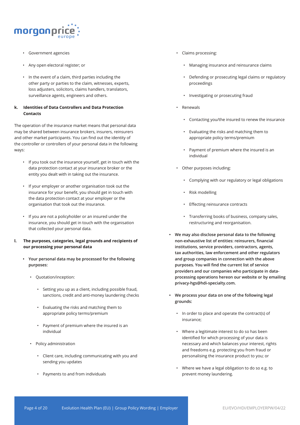

- Government agencies
- Any open electoral register; or
- In the event of a claim, third parties including the other party or parties to the claim, witnesses, experts, loss adjusters, solicitors, claims handlers, translators, surveillance agents, engineers and others.

### **k. Identities of Data Controllers and Data Protection Contacts**

The operation of the insurance market means that personal data may be shared between insurance brokers, insurers, reinsurers and other market participants. You can find out the identity of the controller or controllers of your personal data in the following ways:

- If you took out the insurance yourself, get in touch with the data protection contact at your insurance broker or the entity you dealt with in taking out the insurance.
- If your employer or another organisation took out the insurance for your benefit, you should get in touch with the data protection contact at your employer or the organisation that took out the insurance.
- If you are not a policyholder or an insured under the insurance, you should get in touch with the organisation that collected your personal data.
- **l. The purposes, categories, legal grounds and recipients of our processing your personal data**
	- **• Your personal data may be processed for the following purposes:** 
		- Quotation/inception:
			- Setting you up as a client, including possible fraud, sanctions, credit and anti-money laundering checks
			- Evaluating the risks and matching them to appropriate policy terms/premium
			- Payment of premium where the insured is an individual
		- Policy administration
			- Client care, including communicating with you and sending you updates
			- Payments to and from individuals
- Claims processing:
	- Managing insurance and reinsurance claims
	- Defending or prosecuting legal claims or regulatory proceedings
	- Investigating or prosecuting fraud
- Renewals
	- Contacting you/the insured to renew the insurance
	- Evaluating the risks and matching them to appropriate policy terms/premium
	- Payment of premium where the insured is an individual
- Other purposes including:
	- Complying with our regulatory or legal obligations
	- Risk modelling
	- Effecting reinsurance contracts
	- Transferring books of business, company sales, restructuring and reorganisation.
- **• We may also disclose personal data to the following non-exhaustive list of entities: reinsurers, financial institutions, service providers, contractors, agents, tax authorities, law enforcement and other regulators and group companies in connection with the above purposes. You will find the current list of service providers and our companies who participate in dataprocessing operations hereon our website or by emailing privacy-hgs@hdi-specialty.com.**
- **• We process your data on one of the following legal grounds:**
	- In order to place and operate the contract(s) of insurance;
	- Where a legitimate interest to do so has been identified for which processing of your data is necessary and which balances your interest, rights and freedoms e.g. protecting you from fraud or personalising the insurance product to you; or
	- Where we have a legal obligation to do so e.g. to prevent money laundering.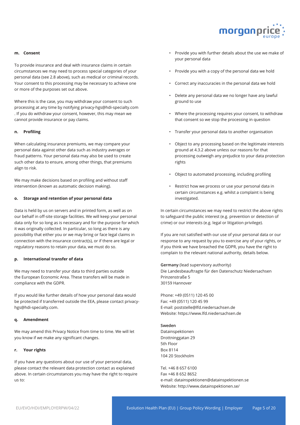

#### **m. Consent**

To provide insurance and deal with insurance claims in certain circumstances we may need to process special categories of your personal data (see 2.8 above), such as medical or criminal records. Your consent to this processing may be necessary to achieve one or more of the purposes set out above.

Where this is the case, you may withdraw your consent to such processing at any time by notifying privacy-hgs@hdi-specialty.com . If you do withdraw your consent, however, this may mean we cannot provide insurance or pay claims.

#### **n. Profiling**

When calculating insurance premiums, we may compare your personal data against other data such as industry averages or fraud patterns. Your personal data may also be used to create such other data to ensure, among other things, that premiums align to risk.

We may make decisions based on profiling and without staff intervention (known as automatic decision making).

#### **o. Storage and retention of your personal data**

Data is held by us on servers and in printed form, as well as on our behalf in off-site storage facilities. We will keep your personal data only for so long as is necessary and for the purpose for which it was originally collected. In particular, so long as there is any possibility that either you or we may bring or face legal claims in connection with the insurance contract(s), or if there are legal or regulatory reasons to retain your data, we must do so.

#### **p. International transfer of data**

We may need to transfer your data to third parties outside the European Economic Area. These transfers will be made in compliance with the GDPR.

If you would like further details of how your personal data would be protected if transferred outside the EEA, please contact privacyhgs@hdi-specialty.com.

#### **q. Amendment**

We may amend this Privacy Notice from time to time. We will let you know if we make any significant changes.

#### **r. Your rights**

If you have any questions about our use of your personal data, please contact the relevant data protection contact as explained above. In certain circumstances you may have the right to require us to:

- Provide you with further details about the use we make of your personal data
- Provide you with a copy of the personal data we hold
- Correct any inaccuracies in the personal data we hold
- Delete any personal data we no longer have any lawful ground to use
- Where the processing requires your consent, to withdraw that consent so we stop the processing in question
- Transfer your personal data to another organisation
- Object to any processing based on the legitimate interests ground at 4.3.2 above unless our reasons for that processing outweigh any prejudice to your data protection rights
- Object to automated processing, including profiling
- Restrict how we process or use your personal data in certain circumstances e.g. whilst a complaint is being investigated.

In certain circumstances we may need to restrict the above rights to safeguard the public interest (e.g. prevention or detection of crime) or our interests (e.g. legal or litigation privilege).

If you are not satisfied with our use of your personal data or our response to any request by you to exercise any of your rights, or if you think we have breached the GDPR, you have the right to complain to the relevant national authority, details below.

**Germany** (lead supervisory authority) Die Landesbeauftragte für den Datenschutz Niedersachsen Prinzenstraße 5 30159 Hannover

Phone: +49 (0511) 120 45 00 Fax: +49 (0511) 120 45 99 E-mail: poststelle@lfd.niedersachsen.de Website: https://www.lfd.niedersachsen.de

#### **Sweden**

Datainspektionen Drottninggatan 29 5th Floor Box 8114 104 20 Stockholm

Tel. +46 8 657 6100 Fax +46 8 652 8652 e-mail: datainspektionen@datainspektionen.se Website: http://www.datainspektionen.se/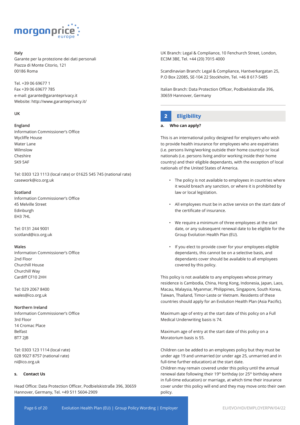

#### **Italy**

Garante per la protezione dei dati personali Piazza di Monte Citorio, 121 00186 Roma

Tel. +39 06 69677 1 Fax +39 06 69677 785 e-mail: garante@garanteprivacy.it Website: http://www.garanteprivacy.it/

#### **UK**

#### **England**

Information Commissioner's Office Wycliffe House Water Lane Wilmslow Cheshire SK9 5AF

Tel: 0303 123 1113 (local rate) or 01625 545 745 (national rate) casework@ico.org.uk

#### **Scotland**

Information Commissioner's Office 45 Melville Street Edinburgh EH3 7HL

Tel: 0131 244 9001 scotland@ico.org.uk

#### **Wales**

Information Commissioner's Office 2nd Floor Churchill House Churchill Way Cardiff CF10 2HH

Tel: 029 2067 8400 wales@ico.org.uk

#### **Northern Ireland**

Information Commissioner's Office 3rd Floor 14 Cromac Place Belfast BT7 2JB

Tel: 0303 123 1114 (local rate) 028 9027 8757 (national rate) ni@ico.org.uk

#### **s. Contact Us**

Head Office: Data Protection Officer, Podbielskistraße 396, 30659 Hannover, Germany, Tel. +49 511 5604-2909

UK Branch: Legal & Compliance, 10 Fenchurch Street, London, EC3M 3BE, Tel. +44 (20) 7015 4000

Scandinavian Branch: Legal & Compliance, Hantverkargatan 25, P.O Box 22085, SE-104 22 Stockholm, Tel. +46 8 617-5485

Italian Branch: Data Protection Officer, Podbielskistraße 396, 30659 Hannover, Germany

# **2 Eligibility**

#### **a. Who can apply?**

This is an international policy designed for employers who wish to provide health insurance for employees who are expatriates (i.e. persons living/working outside their home country) or local nationals (i.e. persons living and/or working inside their home country) and their eligible dependants, with the exception of local nationals of the United States of America.

- The policy is not available to employees in countries where it would breach any sanction, or where it is prohibited by law or local legislation.
- All employees must be in active service on the start date of the certificate of insurance.
- We require a minimum of three employees at the start date, or any subsequent renewal date to be eligible for the Group Evolution Health Plan (EU).
- If you elect to provide cover for your employees eligible dependants, this cannot be on a selective basis, and dependants cover should be available to all employees covered by this policy.

This policy is not available to any employees whose primary residence is Cambodia, China, Hong Kong, Indonesia, Japan, Laos, Macau, Malaysia, Myanmar, Philippines, Singapore, South Korea, Taiwan, Thailand, Timor-Leste or Vietnam. Residents of these countries should apply for an Evolution Health Plan (Asia Pacific).

Maximum age of entry at the start date of this policy on a Full Medical Underwriting basis is 74.

Maximum age of entry at the start date of this policy on a Moratorium basis is 55.

Children can be added to an employees policy but they must be under age 19 and unmarried (or under age 25, unmarried and in full-time further education) at the start date. Children may remain covered under this policy until the annual renewal date following their 19<sup>th</sup> birthday (or 25<sup>th</sup> birthday where in full-time education) or marriage, at which time their insurance cover under this policy will end and they may move onto their own policy.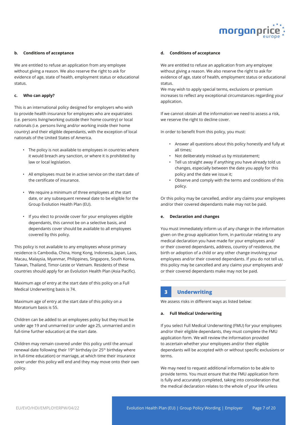

#### **b. Conditions of acceptance**

We are entitled to refuse an application from any employee without giving a reason. We also reserve the right to ask for evidence of age, state of health, employment status or educational status.

#### **c. Who can apply?**

This is an international policy designed for employers who wish to provide health insurance for employees who are expatriates (i.e. persons living/working outside their home country) or local nationals (i.e. persons living and/or working inside their home country) and their eligible dependants, with the exception of local nationals of the United States of America.

- The policy is not available to employees in countries where it would breach any sanction, or where it is prohibited by law or local legislation.
- All employees must be in active service on the start date of the certificate of insurance.
- We require a minimum of three employees at the start date, or any subsequent renewal date to be eligible for the Group Evolution Health Plan (EU).
- If you elect to provide cover for your employees eligible dependants, this cannot be on a selective basis, and dependants cover should be available to all employees covered by this policy.

This policy is not available to any employees whose primary residence is Cambodia, China, Hong Kong, Indonesia, Japan, Laos, Macau, Malaysia, Myanmar, Philippines, Singapore, South Korea, Taiwan, Thailand, Timor-Leste or Vietnam. Residents of these countries should apply for an Evolution Health Plan (Asia Pacific).

Maximum age of entry at the start date of this policy on a Full Medical Underwriting basis is 74.

Maximum age of entry at the start date of this policy on a Moratorium basis is 55.

Children can be added to an employees policy but they must be under age 19 and unmarried (or under age 25, unmarried and in full-time further education) at the start date.

Children may remain covered under this policy until the annual renewal date following their 19<sup>th</sup> birthday (or 25<sup>th</sup> birthday where in full-time education) or marriage, at which time their insurance cover under this policy will end and they may move onto their own policy.

#### **d. Conditions of acceptance**

We are entitled to refuse an application from any employee without giving a reason. We also reserve the right to ask for evidence of age, state of health, employment status or educational status.

We may wish to apply special terms, exclusions or premium increases to reflect any exceptional circumstances regarding your application.

If we cannot obtain all the information we need to assess a risk, we reserve the right to decline cover.

In order to benefit from this policy, you must:

- Answer all questions about this policy honestly and fully at all times;
- Not deliberately mislead us by misstatement;
- Tell us straight away if anything you have already told us changes, especially between the date you apply for this policy and the date we issue it;
- Observe and comply with the terms and conditions of this policy.

Or this policy may be cancelled, and/or any claims your employees and/or their covered dependants make may not be paid.

#### **e. Declaration and changes**

You must immediately inform us of any change in the information given on the group application form, in particular relating to any medical declaration you have made for your employees and/ or their covered dependants, address, country of residence, the birth or adoption of a child or any other change involving your employees and/or their covered dependants. If you do not tell us, this policy may be cancelled and any claims your employees and/ or their covered dependants make may not be paid.

# **3 Underwriting**

We assess risks in different ways as listed below:

#### **a. Full Medical Underwriting**

If you select Full Medical Underwriting (FMU) for your employees and/or their eligible dependants, they must complete the FMU application form. We will review the information provided to ascertain whether your employees and/or their eligible dependants will be accepted with or without specific exclusions or terms.

We may need to request additional information to be able to provide terms. You must ensure that the FMU application form is fully and accurately completed, taking into consideration that the medical declaration relates to the whole of your life unless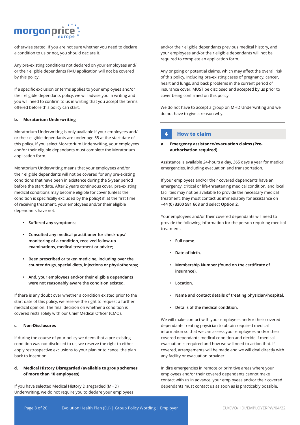# morganprio

otherwise stated. If you are not sure whether you need to declare a condition to us or not, you should declare it.

Any pre-existing conditions not declared on your employees and/ or their eligible dependants FMU application will not be covered by this policy.

If a specific exclusion or terms applies to your employees and/or their eligible dependants policy, we will advise you in writing and you will need to confirm to us in writing that you accept the terms offered before this policy can start.

#### **b. Moratorium Underwriting**

Moratorium Underwriting is only available if your employees and/ or their eligible dependants are under age 55 at the start date of this policy. If you select Moratorium Underwriting, your employees and/or their eligible dependants must complete the Moratorium application form.

Moratorium Underwriting means that your employees and/or their eligible dependants will not be covered for any pre-existing conditions that have been in existence during the 5-year period before the start date. After 2 years continuous cover, pre-existing medical conditions may become eligible for cover (unless the condition is specifically excluded by the policy) if, at the first time of receiving treatment, your employees and/or their eligible dependants have not:

- **• Suffered any symptoms;**
- **• Consulted any medical practitioner for check-ups/ monitoring of a condition, received follow-up examinations, medical treatment or advice;**
- **• Been prescribed or taken medicine, including over the counter drugs, special diets, injections or physiotherapy;**
- **• And, your employees and/or their eligible dependants were not reasonably aware the condition existed.**

If there is any doubt over whether a condition existed prior to the start date of this policy, we reserve the right to request a further medical opinion. The final decision on whether a condition is covered rests solely with our Chief Medical Officer (CMO).

#### **c. Non-Disclosures**

If during the course of your policy we deem that a pre-existing condition was not disclosed to us, we reserve the right to either apply restrospective exclusions to your plan or to cancel the plan back to inception.

### **d. Medical History Disregarded (available to group schemes of more than 10 employees)**

If you have selected Medical History Disregarded (MHD) Underwriting, we do not require you to declare your employees

and/or their eligible dependants previous medical history, and your employees and/or their eligible dependants will not be required to complete an application form.

Any ongoing or potential claims, which may affect the overall risk of this policy, including pre-existing cases of pregnancy, cancer, heart and lungs, and back problems in the current period of insurance cover, MUST be disclosed and accepted by us prior to cover being confirmed on this policy.

We do not have to accept a group on MHD Underwriting and we do not have to give a reason why.

# **4 How to claim**

#### **a. Emergency assistance/evacuation claims (Preauthorisation required)**

Assistance is available 24-hours a day, 365 days a year for medical emergencies, including evacuation and transportation.

If your employees and/or their covered dependants have an emergency, critical or life-threatening medical condition, and local facilities may not be available to provide the necessary medical treatment, they must contact us immediately for assistance on **+44 (0) 3300 581 668** and select **Option 2**.

Your employees and/or their covered dependants will need to provide the following information for the person requiring medical treatment:

- **• Full name.**
- **• Date of birth.**
- **• Membership Number (found on the certificate of insurance).**
- **• Location.**
- **• Name and contact details of treating physician/hospital.**
- **• Details of the medical condition.**

We will make contact with your employees and/or their covered dependants treating physician to obtain required medical information so that we can assess your employees and/or their covered dependants medical condition and decide if medical evacuation is required and how we will need to action that. If covered, arrangements will be made and we will deal directly with any facility or evacuation provider.

In dire emergencies in remote or primitive areas where your employees and/or their covered dependants cannot make contact with us in advance, your employees and/or their covered dependants must contact us as soon as is practicably possible.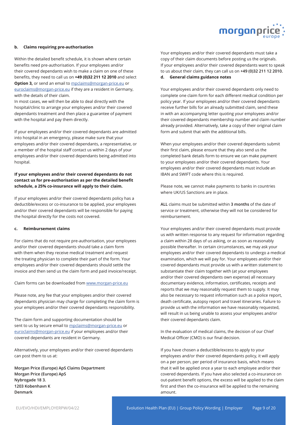

#### **b. Claims requiring pre-authorisation**

Within the detailed benefit schedule, it is shown where certain benefits need pre-authorisation. If your employees and/or their covered dependants wish to make a claim on one of these benefits, they need to call us on **+49 (0)32 211 12 2010** and select **Option 3,** or send an email to mpclaims@morgan-price.eu or euroclaims@morgan-price.eu if they are a resident in Germany, with the details of their claim.

In most cases, we will then be able to deal directly with the hospital/clinic to arrange your employees and/or their covered dependants treatment and then place a guarantee of payment with the hospital and pay them directly.

If your employees and/or their covered dependants are admitted into hospital in an emergency, please make sure that your employees and/or their covered dependants, a representative, or a member of the hospital staff contact us within 2 days of your employees and/or their covered dependants being admitted into hospital.

# **If your employees and/or their covered dependants do not contact us for pre-authorisation as per the detailed benefit schedule, a 25% co-insurance will apply to their claim.**

If your employees and/or their covered dependants policy has a deductible/excess or co-insurance to be applied, your employees and/or their covered dependants will be responsible for paying the hospital directly for the costs not covered.

#### **c. Reimbursement claims**

For claims that do not require pre-authorisation, your employees and/or their covered dependants should take a claim form with them when they receive medical treatment and request the treating physician to complete their part of the form. Your employees and/or their covered dependants should settle the invoice and then send us the claim form and paid invoice/receipt.

#### Claim forms can be downloaded from www.morgan-price.eu

Please note, any fee that your employees and/or their covered dependants physician may charge for completing the claim form is your employees and/or their covered dependants responsibility.

The claim form and supporting documentation should be sent to us by secure email to mpclaims@morgan-price.eu or euroclaims@morgan-price.eu if your employees and/or their covered dependants are resident in Germany.

Alternatively, your employees and/or their covered dependants can post them to us at:

**Morgan Price (Europe) ApS Claims Department Morgan Price (Europe) ApS Nybrogade 18 3. 1203 Kobenhavn K Denmark** 

Your employees and/or their covered dependants must take a copy of their claim documents before posting us the originals. If your employees and/or their covered dependants want to speak to us about their claim, they can call us on **+49 (0)32 211 12 2010. d. General claims guidance notes**

# Your employees and/or their covered dependants only need to complete one claim form for each different medical condition per policy year. If your employees and/or their covered dependants receive further bills for an already submitted claim, send these in with an accompanying letter quoting your employees and/or their covered dependants membership number and claim number already provided. Alternatively, take a copy of their original claim form and submit that with the additional bills.

When your employees and/or their covered dependants submit their first claim, please ensure that they also send us the completed bank details form to ensure we can make payment to your employees and/or their covered dependants. Your employees and/or their covered dependants must include an IBAN and SWIFT code where this is required.

Please note, we cannot make payments to banks in countries where UK/US Sanctions are in place.

**ALL** claims must be submitted within **3 months** of the date of service or treatment, otherwise they will not be considered for reimbursement.

Your employees and/or their covered dependants must provide us with written response to any request for information regarding a claim within 28 days of us asking, or as soon as reasonably possible thereafter. In certain circumstances, we may ask your employees and/or their covered dependants to undergo a medical examination, which we will pay for. Your employees and/or their covered dependants must provide us with a written statement to substantiate their claim together with (at your employees and/or their covered dependants own expense) all necessary documentary evidence, information, certificates, receipts and reports that we may reasonably request them to supply. It may also be necessary to request information such as a police report, death certificate, autopsy report and travel itineraries. Failure to provide us with the information we have reasonably requested, will result in us being unable to assess your employees and/or their covered dependants claim.

In the evaluation of medical claims, the decision of our Chief Medical Officer (CMO) is our final decision.

If you have chosen a deductible/excess to apply to your employees and/or their covered dependants policy, it will apply on a per person, per period of insurance basis, which means that it will be applied once a year to each employee and/or their covered dependants. If you have also selected a co-insurance on out-patient benefit options, the excess will be applied to the claim first and then the co-insurance will be applied to the remaining amount.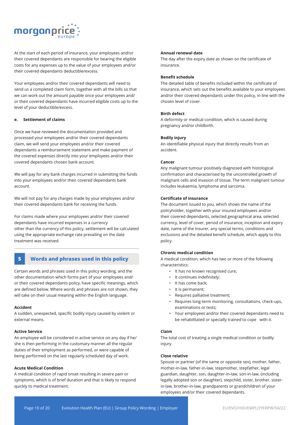

At the start of each period of insurance, your employees and/or their covered dependants are responsible for bearing the eligible costs for any expenses up to the value of your employees and/or their covered dependants deductible/excess.

Your employees and/or their covered dependants will need to send us a completed claim form, together with all the bills so that we can work out the amount payable once your employees and/ or their covered dependants have incurred eligible costs up to the level of your deductible/excess.

#### **e. Settlement of claims**

Once we have reviewed the documentation provided and processed your employees and/or their covered dependants claim, we will send your employees and/or their covered dependants a reimbursement statement and make payment of the covered expenses directly into your employees and/or their covered dependants chosen bank account.

We will pay for any bank charges incurred in submitting the funds into your employees and/or their covered dependants bank account.

We will not pay for any charges made by your employees and/or their covered dependants bank for receiving the funds.

For claims made where your employees and/or their covered dependants have incurred expenses in a currency other than the currency of this policy, settlement will be calculated using the appropriate exchange rate prevailing on the date treatment was received.

# **5 Words and phrases used in this policy**

Certain words and phrases used in this policy wording, and the other documentation which forms part of your employees and/ or their covered dependants policy, have specific meanings, which are defined below. Where words and phrases are not shown, they will take on their usual meaning within the English language.

#### **Accident**

A sudden, unexpected, specific bodily injury caused by violent or external means.

#### **Active Service**

An employee will be considered in active service on any day if he/ she is then performing in the customary manner all the regular duties of their employment as performed, or were capable of being performed on the last regularly scheduled day of work.

#### **Acute Medical Condition**

A medical condition of rapid onset resulting in severe pain or symptoms, which is of brief duration and that is likely to respond quickly to medical treatment.

#### **Annual renewal date**

The day after the expiry date as shown on the certificate of insurance.

#### **Benefit schedule**

The detailed table of benefits included within the certificate of insurance, which sets out the benefits available to your employees and/or their covered dependants under this policy, in line with the chosen level of cover.

#### **Birth defect**

A deformity or medical condition, which is caused during pregnancy and/or childbirth.

#### **Bodily injury**

An identifiable physical injury that directly results from an accident.

#### **Cancer**

Any malignant tumour positively diagnosed with histological confirmation and characterised by the uncontrolled growth of malignant cells and invasion of tissue. The term malignant tumour includes leukaemia, lymphoma and sarcoma.

#### **Certificate of insurance**

The document issued to you, which shows the name of the policyholder, together with your insured employees and/or their covered dependants, selected geographical area, selected currency, level of cover, period of insurance, inception and expiry date, name of the Insurer, any special terms, conditions and exclusions and the detailed benefit schedule, which apply to this policy.

#### **Chronic medical condition**

A medical condition, which has two or more of the following characteristics:

- It has no known recognised cure;
- It continues indefinitely;
- It has come back;
- It is permanent;
- Requires palliative treatment;
- Requires long-term monitoring, consultations, check-ups, examinations or tests;
- Your employees and/or their covered dependants need to be rehabilitated or specially trained to cope with it.

#### **Claim**

The total cost of treating a single medical condition or bodily injury.

#### **Close relative**

Spouse or partner (of the same or opposite sex), mother, father, mother-in-law, father-in-law, stepmother, stepfather, legal guardian, daughter, son, daughter-in-law, son-in-law, (including legally adopted son or daughter), stepchild, sister, brother, sisterin-law, brother-in-law, grandparents or grandchildren of your employees and/or their covered dependants.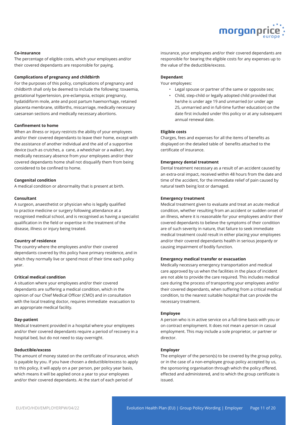

#### **Co-insurance**

The percentage of eligible costs, which your employees and/or their covered dependants are responsible for paying.

#### **Complications of pregnancy and childbirth**

For the purposes of this policy, complications of pregnancy and childbirth shall only be deemed to include the following: toxaemia, gestational hypertension, pre-eclampsia, ectopic pregnancy, hydatidiform mole, ante and post partum haemorrhage, retained placenta membrane, stillbirths, miscarriage, medically necessary caesarean sections and medically necessary abortions.

#### **Confinement to home**

When an illness or injury restricts the ability of your employees and/or their covered dependants to leave their home, except with the assistance of another individual and the aid of a supportive device (such as crutches, a cane, a wheelchair or a walker). Any medically necessary absence from your employees and/or their covered dependants home shall not disqualify them from being considered to be confined to home.

#### **Congenital condition**

A medical condition or abnormality that is present at birth.

#### **Consultant**

A surgeon, anaesthetist or physician who is legally qualified to practice medicine or surgery following attendance at a recognised medical school, and is recognised as having a specialist qualification in the field or expertise in the treatment of the disease, illness or injury being treated.

#### **Country of residence**

The country where the employees and/or their covered dependants covered by this policy have primary residence, and in which they normally live or spend most of their time each policy year.

#### **Critical medical condition**

A situation where your employees and/or their covered dependants are suffering a medical condition, which in the opinion of our Chief Medical Officer (CMO) and in consultation with the local treating doctor, requires immediate evacuation to an appropriate medical facility.

#### **Day-patient**

Medical treatment provided in a hospital where your employees and/or their covered dependants require a period of recovery in a hospital bed, but do not need to stay overnight.

#### **Deductible/excess**

The amount of money stated on the certificate of insurance, which is payable by you. If you have chosen a deductible/excess to apply to this policy, it will apply on a per person, per policy year basis, which means it will be applied once a year to your employees and/or their covered dependants. At the start of each period of

insurance, your employees and/or their covered dependants are responsible for bearing the eligible costs for any expenses up to the value of the deductible/excess.

#### **Dependant**

Your employees:

- Legal spouse or partner of the same or opposite sex;
- Child, step-child or legally adopted child provided that he/she is under age 19 and unmarried (or under age 25, unmarried and in full-time further education) on the date first included under this policy or at any subsequent annual renewal date.

#### **Eligible costs**

Charges, fees and expenses for all the items of benefits as displayed on the detailed table of benefits attached to the certificate of insurance.

#### **Emergency dental treatment**

Dental treatment necessary as a result of an accident caused by an extra-oral impact, received within 48 hours from the date and time of the accident, for the immediate relief of pain caused by natural teeth being lost or damaged.

#### **Emergency treatment**

Medical treatment given to evaluate and treat an acute medical condition, whether resulting from an accident or sudden onset of an illness, where it is reasonable for your employees and/or their covered dependants to believe the symptoms of their condition are of such severity in nature, that failure to seek immediate medical treatment could result in either placing your employees and/or their covered dependants health in serious jeopardy or causing impairment of bodily function.

#### **Emergency medical transfer or evacuation**

Medically necessary emergency transportation and medical care approved by us when the facilities in the place of incident are not able to provide the care required. This includes medical care during the process of transporting your employees and/or their covered dependants, when suffering from a critical medical condition, to the nearest suitable hospital that can provide the necessary treatment.

#### **Employee**

A person who is in active service on a full-time basis with you or on contract employment. It does not mean a person in casual employment. This may include a sole proprietor, or partner or director.

#### **Employer**

The employer of the person(s) to be covered by the group policy, or in the case of a non-employee group policy accepted by us, the sponsoring organisation through which the policy offered, effected and administered, and to which the group certificate is issued.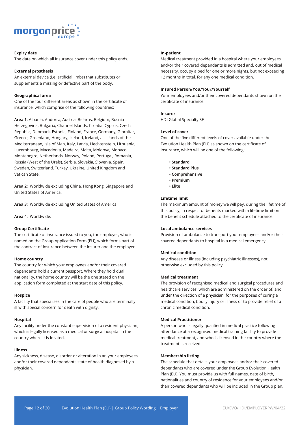

#### **Expiry date**

The date on which all insurance cover under this policy ends.

#### **External prosthesis**

An external device (i.e. artificial limbs) that substitutes or supplements a missing or defective part of the body.

#### **Geographical area**

One of the four different areas as shown in the certificate of insurance, which comprise of the following countries:

**Area 1:** Albania, Andorra, Austria, Belarus, Belgium, Bosnia Herzegovina, Bulgaria, Channel Islands, Croatia, Cyprus, Czech Republic, Denmark, Estonia, Finland, France, Germany, Gibraltar, Greece, Greenland, Hungary, Iceland, Ireland, all islands of the Mediterranean, Isle of Man, Italy, Latvia, Liechtenstein, Lithuania, Luxembourg, Macedonia, Madeira, Malta, Moldova, Monaco, Montenegro, Netherlands, Norway, Poland, Portugal, Romania, Russia (West of the Urals), Serbia, Slovakia, Slovenia, Spain, Sweden, Switzerland, Turkey, Ukraine, United Kingdom and Vatican State.

**Area 2:** Worldwide excluding China, Hong Kong, Singapore and United States of America.

**Area 3:** Worldwide excluding United States of America.

**Area 4:** Worldwide.

## **Group Certificate**

The certificate of insurance issued to you, the employer, who is named on the Group Application Form (EU), which forms part of the contract of insurance between the Insurer and the employer.

#### **Home country**

The country for which your employees and/or their covered dependants hold a current passport. Where they hold dual nationality, the home country will be the one stated on the application form completed at the start date of this policy.

#### **Hospice**

A facility that specialises in the care of people who are terminally ill with special concern for death with dignity.

#### **Hospital**

Any facility under the constant supervision of a resident physician, which is legally licensed as a medical or surgical hospital in the country where it is located.

#### **Illness**

Any sickness, disease, disorder or alteration in an your employees and/or their covered dependants state of health diagnosed by a physician.

#### **In-patient**

Medical treatment provided in a hospital where your employees and/or their covered dependants is admitted and, out of medical necessity, occupy a bed for one or more nights, but not exceeding 12 months in total, for any one medical condition.

#### **Insured Person/You/Your/Yourself**

Your employees and/or their covered dependants shown on the certificate of insurance.

#### **Insurer**

HDI Global Specialty SE

#### **Level of cover**

One of the five different levels of cover available under the Evolution Health Plan (EU) as shown on the certificate of insurance, which will be one of the following:

- **Standard**
- **Standard Plus**
- **Comprehensive**
- **Premium**
- **Elite**

#### **Lifetime limit**

The maximum amount of money we will pay, during the lifetime of this policy, in respect of benefits marked with a lifetime limit on the benefit schedule attached to the certificate of insurance.

#### **Local ambulance services**

Provision of ambulance to transport your employees and/or their covered dependants to hospital in a medical emergency.

#### **Medical condition**

Any disease or illness (including psychiatric illnesses), not otherwise excluded by this policy.

#### **Medical treatment**

The provision of recognised medical and surgical procedures and healthcare services, which are administered on the order of, and under the direction of a physician, for the purposes of curing a medical condition, bodily injury or illness or to provide relief of a chronic medical condition.

#### **Medical Practitioner**

A person who is legally qualified in medical practice following attendance at a recognised medical training facility to provide medical treatment, and who is licensed in the country where the treatment is received.

#### **Membership listing**

The schedule that details your employees and/or their covered dependants who are covered under the Group Evolution Health Plan (EU). You must provide us with full names, date of birth, nationalities and country of residence for your employees and/or their covered dependants who will be included in the Group plan.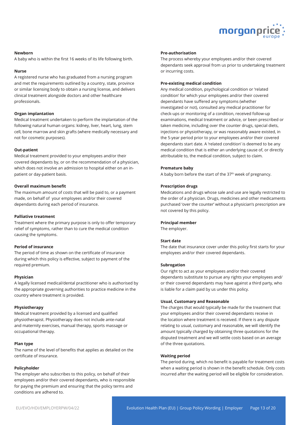

#### **Newborn**

A baby who is within the first 16 weeks of its life following birth.

#### **Nurse**

A registered nurse who has graduated from a nursing program and met the requirements outlined by a country, state, province or similar licensing body to obtain a nursing license, and delivers clinical treatment alongside doctors and other healthcare professionals.

#### **Organ implantation**

Medical treatment undertaken to perform the implantation of the following natural human organs: kidney, liver, heart, lung, stem cell, bone marrow and skin grafts (where medically necessary and not for cosmetic purposes).

#### **Out-patient**

Medical treatment provided to your employees and/or their covered dependants by, or on the recommendation of a physician, which does not involve an admission to hospital either on an inpatient or day-patient basis.

#### **Overall maximum benefit**

The maximum amount of costs that will be paid to, or a payment made, on behalf of your employees and/or their covered dependants during each period of insurance.

#### **Palliative treatment**

Treatment where the primary purpose is only to offer temporary relief of symptoms, rather than to cure the medical condition causing the symptoms.

#### **Period of insurance**

The period of time as shown on the certificate of insurance during which this policy is effective, subject to payment of the required premium.

#### **Physician**

A legally licensed medical/dental practitioner who is authorised by the appropriate governing authorities to practice medicine in the country where treatment is provided.

#### **Physiotherapy**

Medical treatment provided by a licensed and qualified physiotherapist. Physiotherapy does not include ante-natal and maternity exercises, manual therapy, sports massage or occupational therapy.

#### **Plan type**

The name of the level of benefits that applies as detailed on the certificate of insurance.

#### **Policyholder**

The employer who subscribes to this policy, on behalf of their employees and/or their covered dependants, who is responsible for paying the premium and ensuring that the policy terms and conditions are adhered to.

#### **Pre-authorisation**

The process whereby your employees and/or their covered dependants seek approval from us prior to undertaking treatment or incurring costs.

#### **Pre-existing medical condition**

Any medical condition, psychological condition or 'related condition' for which your employees and/or their covered dependants have suffered any symptoms (whether investigated or not), consulted any medical practitioner for check-ups or monitoring of a condition, received follow-up examinations, medical treatment or advice, or been prescribed or taken medicine, including over the counter drugs, special diets, injections or physiotherapy, or was reasonably aware existed, in the 5-year period prior to your employees and/or their covered dependants start date. A 'related condition' is deemed to be any medical condition that is either an underlying cause of, or directly attributable to, the medical condition, subject to claim.

#### **Premature baby**

A baby born before the start of the 37<sup>th</sup> week of pregnancy.

#### **Prescription drugs**

Medications and drugs whose sale and use are legally restricted to the order of a physician. Drugs, medicines and other medicaments purchased 'over the counter' without a physician's prescription are not covered by this policy.

#### **Principal member**

The employer.

#### **Start date**

The date that insurance cover under this policy first starts for your employees and/or their covered dependants.

#### **Subrogation**

Our right to act as your employees and/or their covered dependants substitute to pursue any rights your employees and/ or their covered dependants may have against a third party, who is liable for a claim paid by us under this policy.

#### **Usual, Customary and Reasonable**

The charges that would typically be made for the treatment that your employees and/or their covered dependants receive in the location where treatment is received. If there is any dispute relating to usual, customary and reasonable, we will identify the amount typically charged by obtaining three quotations for the disputed treatment and we will settle costs based on an average of the three quotations.

#### **Waiting period**

The period during, which no benefit is payable for treatment costs when a waiting period is shown in the benefit schedule. Only costs incurred after the waiting period will be eligible for consideration.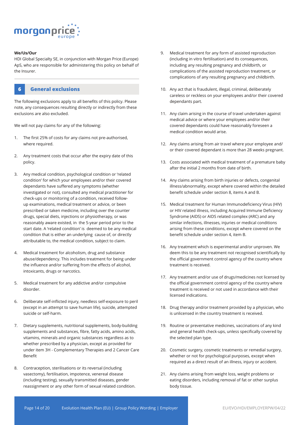

#### **We/Us/Our**

HDI Global Specialty SE, in conjunction with Morgan Price (Europe) ApS, who are responsible for administering this policy on behalf of the Insurer.



The following exclusions apply to all benefits of this policy. Please note, any consequences resulting directly or indirectly from these exclusions are also excluded.

We will not pay claims for any of the following:

- 1. The first 25% of costs for any claims not pre-authorised, where required.
- 2. Any treatment costs that occur after the expiry date of this policy.
- 3. Any medical condition, psychological condition or 'related condition' for which your employees and/or their covered dependants have suffered any symptoms (whether investigated or not), consulted any medical practitioner for check-ups or monitoring of a condition, received followup examinations, medical treatment or advice, or been prescribed or taken medicine, including over the counter drugs, special diets, injections or physiotherapy, or was reasonably aware existed, in the 5-year period prior to the start date. A 'related condition' is deemed to be any medical condition that is either an underlying cause of, or directly attributable to, the medical condition, subject to claim.
- 4. Medical treatment for alcoholism, drug and substance abuse/dependency. This includes treatment for being under the influence and/or suffering from the effects of alcohol, intoxicants, drugs or narcotics.
- 5. Medical treatment for any addictive and/or compulsive disorder.
- 6. Deliberate self-inflicted injury, needless self-exposure to peril (except in an attempt to save human life), suicide, attempted suicide or self-harm.
- 7. Dietary supplements, nutritional supplements, body-building supplements and substances, fibre, fatty acids, amino acids, vitamins, minerals and organic substances regardless as to whether prescribed by a physician, except as provided for under item 3H - Complementary Therapies and 2 Cancer Care Benefit
- 8. Contraception, sterilisations or its reversal (including vasectomy), fertilisation, impotence, venereal disease (including testing), sexually transmitted diseases, gender reassignment or any other form of sexual related condition.
- 9. Medical treatment for any form of assisted reproduction (including in vitro fertilisation) and its consequences, including any resulting pregnancy and childbirth, or complications of the assisted reproduction treatment, or complications of any resulting pregnancy and childbirth.
- 10. Any act that is fraudulent, illegal, criminal, deliberately careless or reckless on your employees and/or their covered dependants part.
- 11. Any claim arising in the course of travel undertaken against medical advice or where your employees and/or their covered dependants could have reasonably foreseen a medical condition would arise.
- 12. Any claims arising from air travel where your employee and/ or their covered dependant is more than 28 weeks pregnant.
- 13. Costs associated with medical treatment of a premature baby after the initial 2 months from date of birth.
- 14. Any claims arising from birth injuries or defects, congenital illness/abnormality, except where covered within the detailed benefit schedule under section 8, items A and B.
- 15. Medical treatment for Human Immunodeficiency Virus (HIV) or HIV related illness, including Acquired Immune Deficiency Syndrome (AIDS) or AIDS related complex (ARC) and any similar infections, illnesses, injuries or medical conditions arising from these conditions, except where covered on the benefit schedule under section 4, item B.
- 16. Any treatment which is experimental and/or unproven. We deem this to be any treatment not recognised scientifically by the official government control agency of the country where treatment is received.
- 17. Any treatment and/or use of drugs/medicines not licensed by the official government control agency of the country where treatment is received or not used in accordance with their licensed indications.
- 18. Drug therapy and/or treatment provided by a physician, who is unlicensed in the country treatment is received.
- 19. Routine or preventative medicines, vaccinations of any kind and general health check-ups, unless specifically covered by the selected plan type.
- 20. Cosmetic surgery, cosmetic treatments or remedial surgery, whether or not for psychological purposes, except when required as a direct result of an illness, injury or accident.
- 21. Any claims arising from weight loss, weight problems or eating disorders, including removal of fat or other surplus body tissue.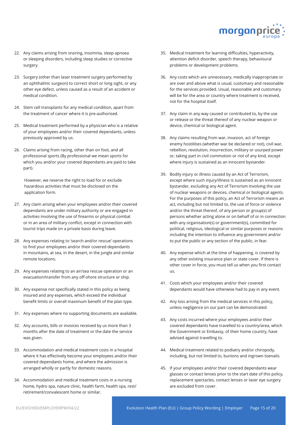

- 22. Any claims arising from snoring, insomnia, sleep apnoea or sleeping disorders, including sleep studies or corrective surgery.
- 23. Surgery (other than laser treatment surgery performed by an ophthalmic surgeon) to correct short or long sight, or any other eye defect, unless caused as a result of an accident or medical condition.
- 24. Stem cell transplants for any medical condition, apart from the treatment of cancer where it is pre-authorised.
- 25. Medical treatment performed by a physician who is a relative of your employees and/or their covered dependants, unless previously approved by us.
- 26. Claims arising from racing, other than on foot, and all professional sports (By professional we mean sports for which you and/or your covered dependants are paid to take part).

However, we reserve the right to load for or exclude hazardous activities that must be disclosed on the application form.

- 27. Any claim arising when your employees and/or their covered dependants are under military authority or are engaged in activities involving the use of firearms or physical combat or in an area of military conflict, except in connection with tourist trips made on a private basis during leave.
- 28. Any expenses relating to 'search and/or rescue' operations to find your employees and/or their covered dependants in mountains, at sea, in the desert, in the jungle and similar remote locations.
- 29. Any expenses relating to an air/sea rescue operation or an evacuation/transfer from any off-shore structure or ship.
- 30. Any expense not specifically stated in this policy as being insured and any expenses, which exceed the individual benefit limits or overall maximum benefit of the plan type.
- 31. Any expenses where no supporting documents are available.
- 32. Any accounts, bills or invoices received by us more than 3 months after the date of treatment or the date the service was given.
- 33. Accommodation and medical treatment costs in a hospital where it has effectively become your employees and/or their covered dependants home, and where the admission is arranged wholly or partly for domestic reasons.
- 34. Accommodation and medical treatment costs in a nursing home, hydro spa, nature clinic, health farm, health spa, rest/ retirement/convalescent home or similar.
- 35. Medical treatment for learning difficulties, hyperactivity, attention deficit disorder, speech therapy, behavioural problems or development problems.
- 36. Any costs which are unnecessary, medically inappropriate or are over and above what is usual, customary and reasonable for the services provided. Usual, reasonable and customary will be for the area or country where treatment is received, not for the hospital itself.
- 37. Any claim in any way caused or contributed to, by the use or release or the threat thereof of any nuclear weapon or device, chemical or biological agent.
- 38. Any claims resulting from war, invasion, act of foreign enemy hostilities (whether war be declared or not), civil war, rebellion, revolution, insurrection, military or usurped power or, taking part in civil commotion or riot of any kind, except where injury is sustained as an innocent bystander.
- 39. Bodily injury or illness caused by an Act of Terrorism, except where such injury/illness is sustained as an innocent bystander, excluding any Act of Terrorism involving the use of nuclear weapons or devices, chemical or biological agents. For the purposes of this policy, an Act of Terrorism means an act, including but not limited to, the use of force or violence and/or the threat thereof, of any person or group(s) of persons whether acting alone or on behalf of or in connection with any organisation(s) or government(s), committed for political, religious, ideological or similar purposes or reasons including the intention to influence any government and/or to put the public or any section of the public, in fear.
- 40. Any expense which at the time of happening, is covered by any other existing insurance plan or state cover. If there is other cover in force, you must tell us when you first contact us.
- 41. Costs which your employees and/or their covered dependants would have otherwise had to pay in any event.
- 42. Any loss arising from the medical services in this policy, unless negligence on our part can be demonstrated.
- 43. Any costs incurred where your employees and/or their covered dependants have travelled to a country/area, which the Government or Embassy, of their home country, have advised against travelling to.
- 44. Medical treatment related to podiatry and/or chiropody, including, but not limited to, bunions and ingrown toenails.
- 45. If your employees and/or their covered dependants wear glasses or contact lenses prior to the start date of this policy, replacement spectacles, contact lenses or laser eye surgery are excluded from cover.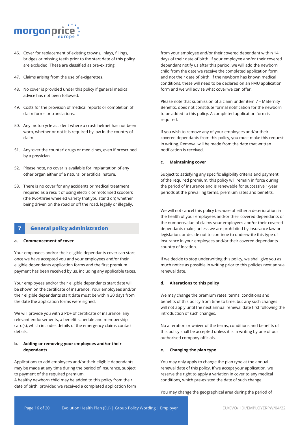

- 46. Cover for replacement of existing crowns, inlays, fillings, bridges or missing teeth prior to the start date of this policy are excluded. These are classified as pre-existing.
- 47. Claims arising from the use of e-cigarettes.
- 48. No cover is provided under this policy if general medical advice has not been followed.
- 49. Costs for the provision of medical reports or completion of claim forms or translations.
- 50. Any motorcycle accident where a crash helmet has not been worn, whether or not it is required by law in the country of claim.
- 51. Any 'over the counter' drugs or medicines, even if prescribed by a physician.
- 52. Please note, no cover is available for implantation of any other organ either of a natural or artificial nature.
- 53. There is no cover for any accidents or medical treatment required as a result of using electric or motorised scooters (the two/three wheeled variety that you stand on) whether being driven on the road or off the road, legally or illegally.

# **7 General policy administration**

#### **a. Commencement of cover**

Your employees and/or their eligible dependants cover can start once we have accepted you and your employees and/or their eligible dependants application forms and the first premium payment has been received by us, including any applicable taxes.

Your employees and/or their eligible dependants start date will be shown on the certificate of insurance. Your employees and/or their eligible dependants start date must be within 30 days from the date the application forms were signed.

We will provide you with a PDF of certificate of insurance, any relevant endorsements, a benefit schedule and membership card(s), which includes details of the emergency claims contact details.

#### **b. Adding or removing your employees and/or their dependants**

Applications to add employees and/or their eligible dependants may be made at any time during the period of insurance, subject to payment of the required premium.

A healthy newborn child may be added to this policy from their date of birth, provided we received a completed application form from your employee and/or their covered dependant within 14 days of their date of birth. If your employee and/or their covered dependant notify us after this period, we will add the newborn child from the date we receive the completed application form, and not their date of birth. If the newborn has known medical conditions, these will need to be declared on an FMU application form and we will advise what cover we can offer.

Please note that submission of a claim under item 7 – Maternity Benefits, does not constitute formal notification for the newborn to be added to this policy. A completed application form is required.

If you wish to remove any of your employees and/or their covered dependants from this policy, you must make this request in writing. Removal will be made from the date that written notification is received.

#### **c. Maintaining cover**

Subject to satisfying any specific eligibility criteria and payment of the required premium, this policy will remain in force during the period of insurance and is renewable for successive 1-year periods at the prevailing terms, premium rates and benefits.

We will not cancel this policy because of either a deterioration in the health of your employees and/or their covered dependants or the number/value of claims your employees and/or their covered dependants make, unless we are prohibited by insurance law or legislation, or decide not to continue to underwrite this type of insurance in your employees and/or their covered dependants country of location.

If we decide to stop underwriting this policy, we shall give you as much notice as possible in writing prior to this policies next annual renewal date.

#### **d. Alterations to this policy**

We may change the premium rates, terms, conditions and benefits of this policy from time to time, but any such changes will not apply until the next annual renewal date first following the introduction of such changes.

No alteration or waiver of the terms, conditions and benefits of this policy shall be accepted unless it is in writing by one of our authorised company officials.

#### **e. Changing the plan type**

You may only apply to change the plan type at the annual renewal date of this policy. If we accept your application, we reserve the right to apply a variation in cover to any medical conditions, which pre-existed the date of such change.

You may change the geographical area during the period of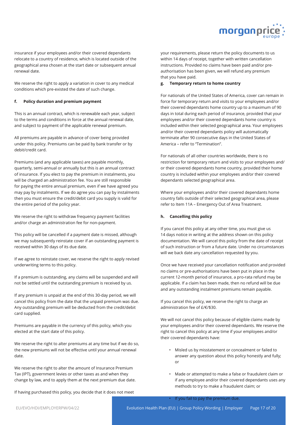

insurance if your employees and/or their covered dependants relocate to a country of residence, which is located outside of the geographical area chosen at the start date or subsequent annual renewal date.

We reserve the right to apply a variation in cover to any medical conditions which pre-existed the date of such change.

#### **f. Policy duration and premium payment**

This is an annual contract, which is renewable each year, subject to the terms and conditions in force at the annual renewal date, and subject to payment of the applicable renewal premium.

All premiums are payable in advance of cover being provided under this policy. Premiums can be paid by bank transfer or by debit/credit card.

Premiums (and any applicable taxes) are payable monthly, quarterly, semi-annual or annually but this is an annual contract of insurance. If you elect to pay the premium in instalments, you will be charged an administration fee. You are still responsible for paying the entire annual premium, even if we have agreed you may pay by instalments. If we do agree you can pay by instalments then you must ensure the credit/debit card you supply is valid for the entire period of the policy year.

We reserve the right to withdraw frequency payment facilities and/or charge an administration fee for non-payment.

This policy will be cancelled if a payment date is missed, although we may subsequently reinstate cover if an outstanding payment is received within 30 days of its due date.

If we agree to reinstate cover, we reserve the right to apply revised underwriting terms to this policy.

If a premium is outstanding, any claims will be suspended and will not be settled until the outstanding premium is received by us.

If any premium is unpaid at the end of this 30-day period, we will cancel this policy from the date that the unpaid premium was due. Any outstanding premium will be deducted from the credit/debit card supplied.

Premiums are payable in the currency of this policy, which you elected at the start date of this policy.

We reserve the right to alter premiums at any time but if we do so, the new premiums will not be effective until your annual renewal date.

We reserve the right to alter the amount of Insurance Premium Tax (IPT), government levies or other taxes as and when they change by law, and to apply them at the next premium due date.

If having purchased this policy, you decide that it does not meet

your requirements, please return the policy documents to us within 14 days of receipt, together with written cancellation instructions. Provided no claims have been paid and/or preauthorisation has been given, we will refund any premium that you have paid.

#### **g. Temporary return to home country**

For nationals of the United States of America, cover can remain in force for temporary return and visits to your employees and/or their covered dependants home country up to a maximum of 90 days in total during each period of insurance, provided that your employees and/or their covered dependants home country is included within their selected geographical area. Your employees and/or their covered dependants policy will automatically terminate after 90 consecutive days in the United States of America – refer to "Termination".

For nationals of all other countries worldwide, there is no restriction for temporary return and visits to your employees and/ or their covered dependants home country, provided their home country is included within your employees and/or their covered dependants selected geographical area.

Where your employees and/or their covered dependants home country falls outside of their selected geographical area, please refer to Item 11A – Emergency Out of Area Treatment.

#### **h. Cancelling this policy**

If you cancel this policy at any other time, you must give us 14 days notice in writing at the address shown on this policy documentation. We will cancel this policy from the date of receipt of such instruction or from a future date. Under no circumstances will we back date any cancellation requested by you.

Once we have received your cancellation notification and provided no claims or pre-authorisations have been put in place in the current 12-month period of insurance, a pro-rata refund may be applicable. If a claim has been made, then no refund will be due and any outstanding instalment premiums remain payable.

If you cancel this policy, we reserve the right to charge an administration fee of £/€/\$30.

We will not cancel this policy because of eligible claims made by your employees and/or their covered dependants. We reserve the right to cancel this policy at any time if your employees and/or their covered dependants have:

- Misled us by misstatement or concealment or failed to answer any question about this policy honestly and fully; or
- Made or attempted to make a false or fraudulent claim or if any employee and/or their covered dependants uses any methods to try to make a fraudulent claim; or

If you fail to pay the premium due.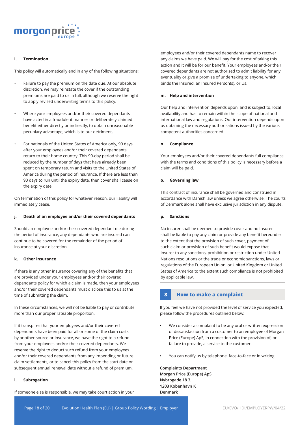

#### **i. Termination**

This policy will automatically end in any of the following situations:

- Failure to pay the premium on the date due. At our absolute discretion, we may reinstate the cover if the outstanding premiums are paid to us in full, although we reserve the right to apply revised underwriting terms to this policy.
- Where your employees and/or their covered dependants have acted in a fraudulent manner or deliberately claimed benefit either directly or indirectly, to obtain unreasonable pecuniary advantage, which is to our detriment.
- For nationals of the United States of America only, 90 days after your employees and/or their covered dependants return to their home country. This 90-day period shall be reduced by the number of days that have already been spent on temporary return and visits to the United States of America during the period of insurance. If there are less than 90 days to run until the expiry date, then cover shall cease on the expiry date.

On termination of this policy for whatever reason, our liability will immediately cease.

#### **j. Death of an employee and/or their covered dependants**

Should an employee and/or their covered dependant die during the period of insurance, any dependants who are insured can continue to be covered for the remainder of the period of insurance at your discretion.

#### **k. Other insurance**

If there is any other insurance covering any of the benefits that are provided under your employees and/or their covered dependants policy for which a claim is made, then your employees and/or their covered dependants must disclose this to us at the time of submitting the claim.

In these circumstances, we will not be liable to pay or contribute more than our proper rateable proportion.

If it transpires that your employees and/or their covered dependants have been paid for all or some of the claim costs by another source or insurance, we have the right to a refund from your employees and/or their covered dependants. We reserve the right to deduct such refund from your employees and/or their covered dependants from any impending or future claim settlements, or to cancel this policy from the start date or subsequent annual renewal date without a refund of premium.

#### **l. Subrogation**

If someone else is responsible, we may take court action in your

employees and/or their covered dependants name to recover any claims we have paid. We will pay for the cost of taking this action and it will be for our benefit. Your employees and/or their covered dependants are not authorised to admit liability for any eventuality or give a promise of undertaking to anyone, which binds the Insured, an Insured Person(s), or Us.

#### **m. Help and intervention**

Our help and intervention depends upon, and is subject to, local availability and has to remain within the scope of national and international law and regulations. Our intervention depends upon us obtaining the necessary authorisations issued by the various competent authorities concerned.

#### **n. Compliance**

Your employees and/or their covered dependants full compliance with the terms and conditions of this policy is necessary before a claim will be paid.

#### **o. Governing law**

This contract of insurance shall be governed and construed in accordance with Danish law unless we agree otherwise. The courts of Denmark alone shall have exclusive jurisdiction in any dispute.

#### **p. Sanctions**

No insurer shall be deemed to provide cover and no insurer shall be liable to pay any claim or provide any benefit hereunder to the extent that the provision of such cover, payment of such claim or provision of such benefit would expose that insurer to any sanctions, prohibition or restriction under United Nations resolutions or the trade or economic sanctions, laws or regulations of the European Union, or United Kingdom or United States of America to the extent such compliance is not prohibited by applicable law.

#### **8 How to make a complaint**

If you feel we have not provided the level of service you expected, please follow the procedures outlined below:

- We consider a complaint to be any oral or written expression of dissatisfaction from a customer to an employee of Morgan Price (Europe) ApS, in connection with the provision of, or failure to provide, a service to the customer.
- You can notify us by telephone, face-to-face or in writing.

**Complaints Department Morgan Price (Europe) ApS Nybrogade 18 3. 1203 Kobenhavn K Denmark**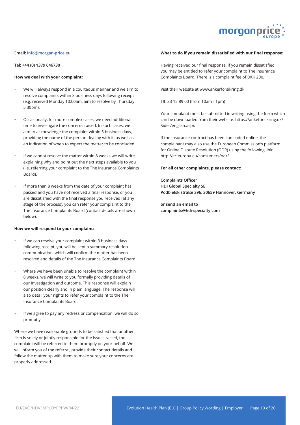

#### **Email: info@morgan-price.eu**

**Tel: +44 (0) 1379 646730**

#### **How we deal with your complaint:**

- We will always respond in a courteous manner and we aim to resolve complaints within 3 business days following receipt (e.g. received Monday 10:00am, aim to resolve by Thursday 5:30pm).
- Occasionally, for more complex cases, we need additional time to investigate the concerns raised. In such cases, we aim to acknowledge the complaint within 5 business days, providing the name of the person dealing with it, as well as an indication of when to expect the matter to be concluded.
- If we cannot resolve the matter within 8 weeks we will write explaining why and point out the next steps available to you (i.e. referring your complaint to the The Insurance Complaints Board).
- If more than 8 weeks from the date of your complaint has passed and you have not received a final response, or you are dissatisfied with the final response you received (at any stage of the process), you can refer your complaint to the The Insurance Complaints Board (contact details are shown below).

#### **How we will respond to your complaint:**

- If we can resolve your complaint within 3 business days following receipt, you will be sent a summary resolution communication, which will confirm the matter has been resolved and details of the The Insurance Complaints Board.
- Where we have been unable to resolve the complaint within 8 weeks, we will write to you formally providing details of our investigation and outcome. This response will explain our position clearly and in plain language. The response will also detail your rights to refer your complaint to the The Insurance Complaints Board.
- If we agree to pay any redress or compensation, we will do so promptly.

Where we have reasonable grounds to be satisfied that another firm is solely or jointly responsible for the issues raised, the complaint will be referred to them promptly on your behalf. We will inform you of the referral, provide their contact details and follow the matter up with them to make sure your concerns are properly addressed.

#### **What to do if you remain dissatisfied with our final response:**

Having received our final response, if you remain dissatisfied you may be entitled to refer your complaint to The Insurance Complaints Board. There is a complaint fee of DKK 200.

Visit their website at www.ankerforsikring.dk

Tlf: 33 15 89 00 (from 10am - 1pm)

Your complaint must be submitted in writing using the form which can be downloaded from their website: https://ankeforsikring.dk/ Sider/english.aspx

If the insurance contract has been concluded online, the complainant may also use the European Commission's platform for Online Dispute Resolution (ODR) using the following link: http://ec.europa.eu/consumers/odr/

#### **For all other complaints, please contact:**

**Complaints Officer HDI Global Specialty SE Podbielskistraße 396, 30659 Hannover, Germany**

**or send an email to complaints@hdi-specialty.com**